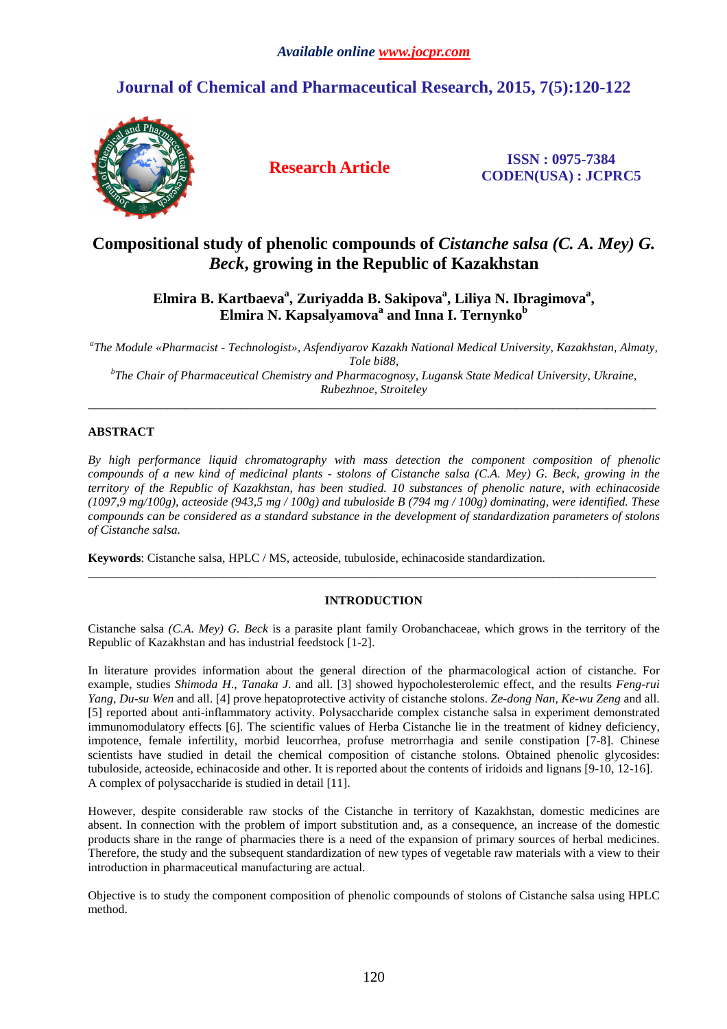# **Journal of Chemical and Pharmaceutical Research, 2015, 7(5):120-122**



**Research Article ISSN : 0975-7384 CODEN(USA) : JCPRC5**

## **Compositional study of phenolic compounds of** *Cistanche salsa (C. A. Mey) G. Beck***, growing in the Republic of Kazakhstan**

**Elmira B. Kartbaeva<sup>a</sup> , Zuriyadda B. Sakipova<sup>a</sup> , Liliya N. Ibragimova<sup>a</sup> , Elmira N. Kapsalyamova<sup>a</sup> and Inna I. Ternynko<sup>b</sup>**

*a The Module «Pharmacist - Technologist», Asfendiyarov Kazakh National Medical University, Kazakhstan, Almaty, Tole bi88, b The Chair of Pharmaceutical Chemistry and Pharmacognosy, Lugansk State Medical University, Ukraine,* 

*Rubezhnoe, Stroiteley*  \_\_\_\_\_\_\_\_\_\_\_\_\_\_\_\_\_\_\_\_\_\_\_\_\_\_\_\_\_\_\_\_\_\_\_\_\_\_\_\_\_\_\_\_\_\_\_\_\_\_\_\_\_\_\_\_\_\_\_\_\_\_\_\_\_\_\_\_\_\_\_\_\_\_\_\_\_\_\_\_\_\_\_\_\_\_\_\_\_\_\_\_\_

## **ABSTRACT**

*By high performance liquid chromatography with mass detection the component composition of phenolic compounds of a new kind of medicinal plants - stolons of Cistanche salsa (C.A. Mey) G. Beck, growing in the territory of the Republic of Kazakhstan, has been studied. 10 substances of phenolic nature, with echinacoside (1097,9 mg/100g), acteoside (943,5 mg / 100g) and tubuloside B (794 mg / 100g) dominating, were identified. These compounds can be considered as a standard substance in the development of standardization parameters of stolons of Cistanche salsa.* 

**Keywords**: Cistanche salsa, HPLC / MS, acteoside, tubuloside, echinacoside standardization.

## **INTRODUCTION**

\_\_\_\_\_\_\_\_\_\_\_\_\_\_\_\_\_\_\_\_\_\_\_\_\_\_\_\_\_\_\_\_\_\_\_\_\_\_\_\_\_\_\_\_\_\_\_\_\_\_\_\_\_\_\_\_\_\_\_\_\_\_\_\_\_\_\_\_\_\_\_\_\_\_\_\_\_\_\_\_\_\_\_\_\_\_\_\_\_\_\_\_\_

Cistanche salsa *(C.A. Mey) G. Beck* is a parasite plant family Orobanchaceae, which grows in the territory of the Republic of Kazakhstan and has industrial feedstock [1-2].

In literature provides information about the general direction of the pharmacological action of cistanche. For example, studies *Shimoda H*., *Tanaka J*. and all. [3] showed hypocholesterolemic effect, and the results *Feng-rui Yang*, *Du-su Wen* and all. [4] prove hepatoprotective activity of cistanche stolons. *Ze-dong Nan, Ke-wu Zeng* and all. [5] reported about anti-inflammatory activity. Polysaccharide complex cistanche salsa in experiment demonstrated immunomodulatory effects [6]. The scientific values of Herba Cistanche lie in the treatment of kidney deficiency, impotence, female infertility, morbid leucorrhea, profuse metrorrhagia and senile constipation [7-8]. Chinese scientists have studied in detail the chemical composition of cistanche stolons. Obtained phenolic glycosides: tubuloside, acteoside, echinacoside and other. It is reported about the contents of iridoids and lignans [9-10, 12-16]. A complex of polysaccharide is studied in detail [11].

However, despite considerable raw stocks of the Cistanche in territory of Kazakhstan, domestic medicines are absent. In connection with the problem of import substitution and, as a consequence, an increase of the domestic products share in the range of pharmacies there is a need of the expansion of primary sources of herbal medicines. Therefore, the study and the subsequent standardization of new types of vegetable raw materials with a view to their introduction in pharmaceutical manufacturing are actual.

Objective is to study the component composition of phenolic compounds of stolons of Cistanche salsa using HPLC method.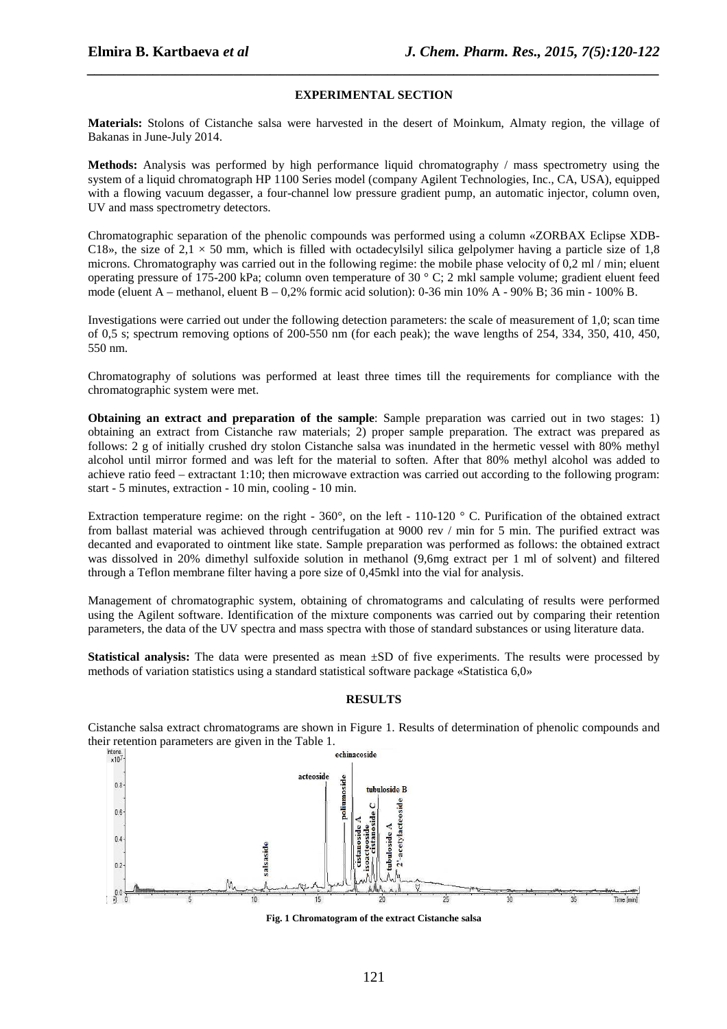### **EXPERIMENTAL SECTION**

*\_\_\_\_\_\_\_\_\_\_\_\_\_\_\_\_\_\_\_\_\_\_\_\_\_\_\_\_\_\_\_\_\_\_\_\_\_\_\_\_\_\_\_\_\_\_\_\_\_\_\_\_\_\_\_\_\_\_\_\_\_\_\_\_\_\_\_\_\_\_\_\_\_\_\_\_\_\_*

**Materials:** Stolons of Cistanche salsa were harvested in the desert of Moinkum, Almaty region, the village of Bakanas in June-July 2014.

**Methods:** Analysis was performed by high performance liquid chromatography / mass spectrometry using the system of a liquid chromatograph HP 1100 Series model (company Agilent Technologies, Inc., CA, USA), equipped with a flowing vacuum degasser, a four-channel low pressure gradient pump, an automatic injector, column oven, UV and mass spectrometry detectors.

Chromatographic separation of the phenolic compounds was performed using a column «ZORBAX Eclipse XDB-C18», the size of 2,1  $\times$  50 mm, which is filled with octadecylsilyl silica gelpolymer having a particle size of 1,8 microns. Chromatography was carried out in the following regime: the mobile phase velocity of 0,2 ml / min; eluent operating pressure of 175-200 kPa; column oven temperature of 30 ° C; 2 mkl sample volume; gradient eluent feed mode (eluent A – methanol, eluent B – 0,2% formic acid solution): 0-36 min 10% A - 90% B; 36 min - 100% B.

Investigations were carried out under the following detection parameters: the scale of measurement of 1,0; scan time of 0,5 s; spectrum removing options of 200-550 nm (for each peak); the wave lengths of 254, 334, 350, 410, 450, 550 nm.

Chromatography of solutions was performed at least three times till the requirements for compliance with the chromatographic system were met.

**Obtaining an extract and preparation of the sample:** Sample preparation was carried out in two stages: 1) obtaining an extract from Cistanche raw materials; 2) proper sample preparation. The extract was prepared as follows: 2 g of initially crushed dry stolon Cistanche salsa was inundated in the hermetic vessel with 80% methyl alcohol until mirror formed and was left for the material to soften. After that 80% methyl alcohol was added to achieve ratio feed – extractant 1:10; then microwave extraction was carried out according to the following program: start - 5 minutes, extraction - 10 min, cooling - 10 min.

Extraction temperature regime: on the right -  $360^\circ$ , on the left - 110-120  $^\circ$  C. Purification of the obtained extract from ballast material was achieved through centrifugation at 9000 rev / min for 5 min. The purified extract was decanted and evaporated to ointment like state. Sample preparation was performed as follows: the obtained extract was dissolved in 20% dimethyl sulfoxide solution in methanol (9,6mg extract per 1 ml of solvent) and filtered through a Teflon membrane filter having a pore size of 0,45mkl into the vial for analysis.

Management of chromatographic system, obtaining of chromatograms and calculating of results were performed using the Agilent software. Identification of the mixture components was carried out by comparing their retention parameters, the data of the UV spectra and mass spectra with those of standard substances or using literature data.

**Statistical analysis:** The data were presented as mean ±SD of five experiments. The results were processed by methods of variation statistics using a standard statistical software package «Statistica 6,0»

#### **RESULTS**

Cistanche salsa extract chromatograms are shown in Figure 1. Results of determination of phenolic compounds and their retention parameters are given in the Table 1.<br>
echinacoside



**Fig. 1 Chromatogram of the extract Cistanche salsa**